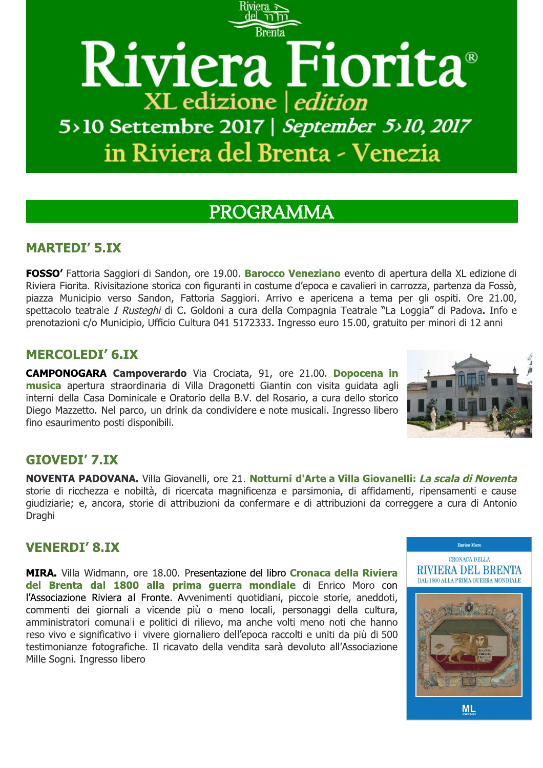# Riviera Fiorita® XL edizione | edition 5>10 Settembre 2017 | September 5>10, 2017 in Riviera del Brenta - Venezia

## PROGRAMMA

## **MARTEDI' 5.IX**

FOSSO' Fattoria Saggiori di Sandon, ore 19.00. Barocco Veneziano evento di apertura della XL edizione di Riviera Fiorita. Rivisitazione storica con figuranti in costume d'epoca e cavalieri in carrozza, partenza da Fossò, piazza Municipio verso Sandon, Fattoria Saggiori. Arrivo e apericena a tema per gli ospiti. Ore 21.00, spettacolo teatrale *I Rusteghi* di C. Goldoni a cura della Compagnia Teatrale "La Loggia" di Padova. Info e prenotazioni c/o Municipio, Ufficio Cultura 041 5172333. Ingresso euro 15.00, gratuito per minori di 12 anni

## **MERCOLEDI' 6.IX**

CAMPONOGARA Campoverardo Via Crociata, 91, ore 21.00. Dopocena in musica apertura straordinaria di Villa Dragonetti Giantin con visita quidata agli interni della Casa Dominicale e Oratorio della B.V. del Rosario, a cura dello storico Diego Mazzetto. Nel parco, un drink da condividere e note musicali. Ingresso libero fino esaurimento posti disponibili.



## **GIOVEDI' 7.IX**

NOVENTA PADOVANA. Villa Giovanelli, ore 21. Notturni d'Arte a Villa Giovanelli: La scala di Noventa storie di ricchezza e nobiltà, di ricercata magnificenza e parsimonia, di affidamenti, ripensamenti e cause giudiziarie; e, ancora, storie di attribuzioni da confermare e di attribuzioni da correggere a cura di Antonio Draghi

## **VENERDI' 8.IX**

MIRA. Villa Widmann, ore 18.00. Presentazione del libro Cronaca della Riviera del Brenta dal 1800 alla prima querra mondiale di Enrico Moro con l'Associazione Riviera al Fronte. Avvenimenti quotidiani, piccole storie, aneddoti, commenti dei giornali a vicende più o meno locali, personaggi della cultura, amministratori comunali e politici di rilievo, ma anche volti meno noti che hanno reso vivo e significativo il vivere giornaliero dell'epoca raccolti e uniti da più di 500 testimonianze fotografiche. Il ricavato della vendita sarà devoluto all'Associazione Mille Sogni. Ingresso libero



**Enrico** Moro

**ML**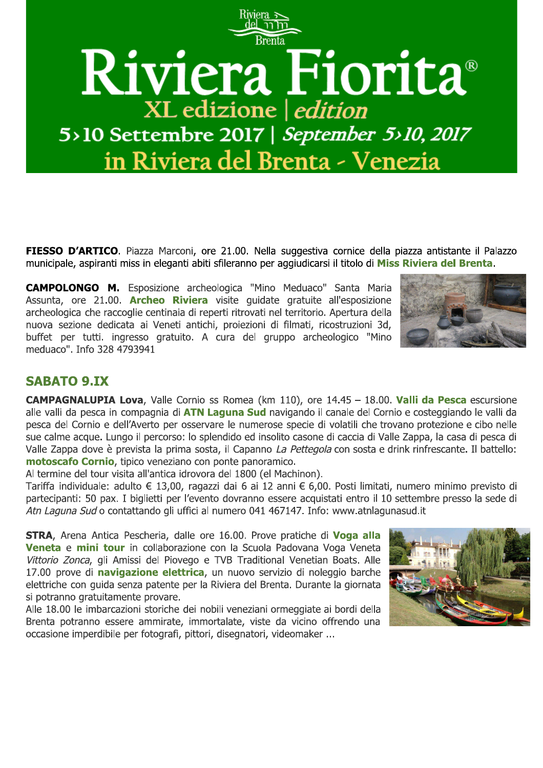

FIESSO D'ARTICO. Piazza Marconi, ore 21.00. Nella suggestiva cornice della piazza antistante il Palazzo municipale, aspiranti miss in eleganti abiti sfileranno per aggiudicarsi il titolo di Miss Riviera del Brenta.

**CAMPOLONGO M.** Esposizione archeologica "Mino Meduaco" Santa Maria Assunta, ore 21.00. **Archeo Riviera** visite quidate gratuite all'esposizione archeologica che raccoglie centinaia di reperti ritrovati nel territorio. Apertura della nuova sezione dedicata ai Veneti antichi, proiezioni di filmati, ricostruzioni 3d, buffet per tutti, ingresso gratuito. A cura del gruppo archeologico "Mino meduaco". Info 328 4793941



## **SABATO 9.IX**

CAMPAGNALUPIA Lova, Valle Cornio ss Romea (km 110), ore 14.45 - 18.00. Valli da Pesca escursione alle valli da pesca in compagnia di **ATN Laguna Sud** navigando il canale del Cornio e costeggiando le valli da pesca del Cornio e dell'Averto per osservare le numerose specie di volatili che trovano protezione e cibo nelle sue calme acque. Lungo il percorso: lo splendido ed insolito casone di caccia di Valle Zappa, la casa di pesca di Valle Zappa dove è prevista la prima sosta, il Capanno La Pettegola con sosta e drink rinfrescante. Il battello: motoscafo Cornio, tipico veneziano con ponte panoramico.

Al termine del tour visita all'antica idrovora del 1800 (el Machinon).

Tariffa individuale: adulto € 13,00, ragazzi dai 6 ai 12 anni € 6,00. Posti limitati, numero minimo previsto di partecipanti: 50 pax. I biglietti per l'evento dovranno essere acquistati entro il 10 settembre presso la sede di Atn Laguna Sud o contattando gli uffici al numero 041 467147. Info: www.atnlagunasud.it

STRA, Arena Antica Pescheria, dalle ore 16.00. Prove pratiche di Voga alla Veneta e mini tour in collaborazione con la Scuola Padovana Voga Veneta Vittorio Zonca, gli Amissi del Piovego e TVB Traditional Venetian Boats. Alle 17.00 prove di navigazione elettrica, un nuovo servizio di noleggio barche elettriche con quida senza patente per la Riviera del Brenta. Durante la giornata si potranno gratuitamente provare.

Alle 18.00 le imbarcazioni storiche dei nobili veneziani ormeggiate ai bordi della Brenta potranno essere ammirate, immortalate, viste da vicino offrendo una occasione imperdibile per fotografi, pittori, disegnatori, videomaker ...

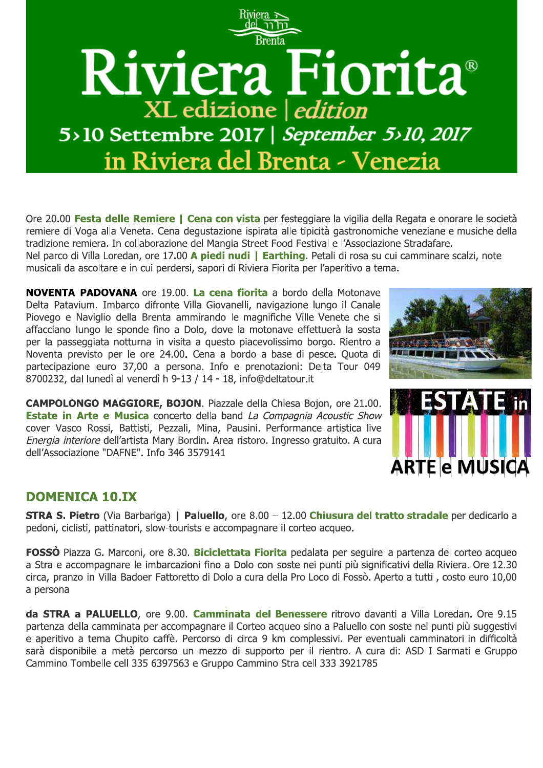

Ore 20.00 Festa delle Remiere | Cena con vista per festeggiare la vigilia della Regata e onorare le società remiere di Voga alla Veneta. Cena degustazione ispirata alle tipicità gastronomiche veneziane e musiche della tradizione remiera. In collaborazione del Mangia Street Food Festival e l'Associazione Stradafare.

Nel parco di Villa Loredan, ore 17.00 A piedi nudi | Earthing. Petali di rosa su cui camminare scalzi, note musicali da ascoltare e in cui perdersi, sapori di Riviera Fiorita per l'aperitivo a tema.

**NOVENTA PADOVANA** ore 19.00. La cena fiorita a bordo della Motonave Delta Patavium. Imbarco difronte Villa Giovanelli, navigazione lungo il Canale Piovego e Naviglio della Brenta ammirando le magnifiche Ville Venete che si affacciano lungo le sponde fino a Dolo, dove la motonave effettuerà la sosta per la passeggiata notturna in visita a questo piacevolissimo borgo. Rientro a Noventa previsto per le ore 24.00. Cena a bordo a base di pesce. Quota di partecipazione euro 37,00 a persona. Info e prenotazioni: Delta Tour 049 8700232, dal lunedì al venerdì h 9-13 / 14 - 18, info@deltatour.it

CAMPOLONGO MAGGIORE, BOJON. Piazzale della Chiesa Bojon, ore 21.00. **Estate in Arte e Musica** concerto della band La Compagnia Acoustic Show cover Vasco Rossi, Battisti, Pezzali, Mina, Pausini. Performance artistica live Energia interiore dell'artista Mary Bordin. Area ristoro. Ingresso gratuito. A cura dell'Associazione "DAFNE". Info 346 3579141





## **DOMENICA 10.IX**

**STRA S. Pietro** (Via Barbariga) | Paluello, ore 8.00 - 12.00 Chiusura del tratto stradale per dedicarlo a pedoni, ciclisti, pattinatori, slow-tourists e accompagnare il corteo acqueo.

**FOSSO** Piazza G. Marconi, ore 8.30. **Biciclettata Fiorita** pedalata per seguire la partenza del corteo acqueo a Stra e accompagnare le imbarcazioni fino a Dolo con soste nei punti più significativi della Riviera. Ore 12.30 circa, pranzo in Villa Badoer Fattoretto di Dolo a cura della Pro Loco di Fossò. Aperto a tutti, costo euro 10,00 a persona

da STRA a PALUELLO, ore 9.00. Camminata del Benessere ritrovo davanti a Villa Loredan. Ore 9.15 partenza della camminata per accompagnare il Corteo acqueo sino a Paluello con soste nei punti più suggestivi e aperitivo a tema Chupito caffè. Percorso di circa 9 km complessivi. Per eventuali camminatori in difficoltà sarà disponibile a metà percorso un mezzo di supporto per il rientro. A cura di: ASD I Sarmati e Gruppo Cammino Tombelle cell 335 6397563 e Gruppo Cammino Stra cell 333 3921785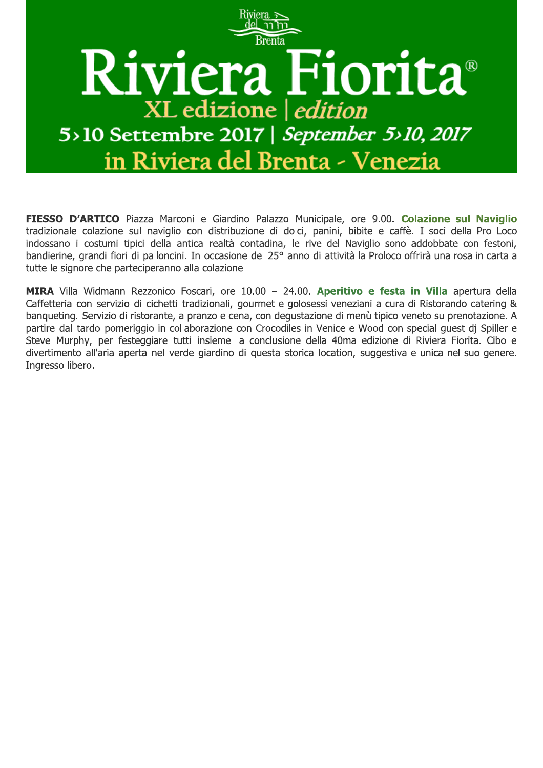

FIESSO D'ARTICO Piazza Marconi e Giardino Palazzo Municipale, ore 9.00. Colazione sul Naviglio tradizionale colazione sul naviglio con distribuzione di dolci, panini, bibite e caffè. I soci della Pro Loco indossano i costumi tipici della antica realtà contadina, le rive del Naviglio sono addobbate con festoni, bandierine, grandi fiori di palloncini. In occasione del 25° anno di attività la Proloco offrirà una rosa in carta a tutte le signore che parteciperanno alla colazione

MIRA Villa Widmann Rezzonico Foscari, ore 10.00 - 24.00. Aperitivo e festa in Villa apertura della Caffetteria con servizio di cichetti tradizionali, gourmet e golosessi veneziani a cura di Ristorando catering & bangueting. Servizio di ristorante, a pranzo e cena, con degustazione di menù tipico veneto su prenotazione. A partire dal tardo pomeriggio in collaborazione con Crocodiles in Venice e Wood con special guest dj Spiller e Steve Murphy, per festeggiare tutti insieme la conclusione della 40ma edizione di Riviera Fiorita. Cibo e divertimento all'aria aperta nel verde giardino di questa storica location, suggestiva e unica nel suo genere. Ingresso libero.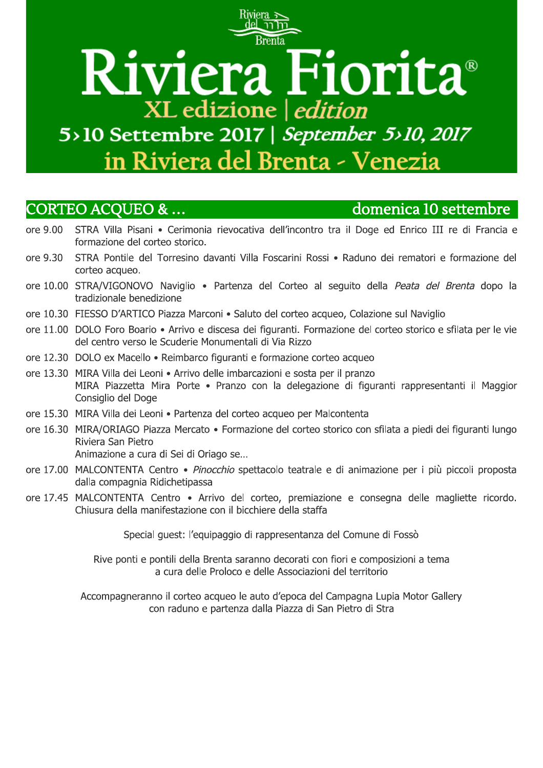## **Brenta** Riviera Fiorita® XL edizione | edition 5>10 Settembre 2017 | September 5>10, 2017 in Riviera del Brenta - Venezia

## **CORTEO ACQUEO & ...**

## domenica 10 settembre

- ore 9.00 STRA Villa Pisani · Cerimonia rievocativa dell'incontro tra il Doge ed Enrico III re di Francia e formazione del corteo storico.
- STRA Pontile del Torresino davanti Villa Foscarini Rossi · Raduno dei rematori e formazione del ore 9.30 corteo acqueo.
- ore 10.00 STRA/VIGONOVO Naviglio · Partenza del Corteo al seguito della Peata del Brenta dopo la tradizionale benedizione
- ore 10.30 FIESSO D'ARTICO Piazza Marconi · Saluto del corteo acqueo, Colazione sul Naviglio
- ore 11.00 DOLO Foro Boario Arrivo e discesa dei figuranti. Formazione del corteo storico e sfilata per le vie del centro verso le Scuderie Monumentali di Via Rizzo
- ore 12.30 DOLO ex Macello Reimbarco figuranti e formazione corteo acqueo
- ore 13.30 MIRA Villa dei Leoni Arrivo delle imbarcazioni e sosta per il pranzo MIRA Piazzetta Mira Porte · Pranzo con la delegazione di figuranti rappresentanti il Maggior Consiglio del Doge
- ore 15.30 MIRA Villa dei Leoni · Partenza del corteo acqueo per Malcontenta
- ore 16.30 MIRA/ORIAGO Piazza Mercato · Formazione del corteo storico con sfilata a piedi dei figuranti lungo Riviera San Pietro

Animazione a cura di Sei di Oriago se...

- ore 17.00 MALCONTENTA Centro · Pinocchio spettacolo teatrale e di animazione per i più piccoli proposta dalla compagnia Ridichetipassa
- ore 17.45 MALCONTENTA Centro · Arrivo del corteo, premiazione e consegna delle magliette ricordo. Chiusura della manifestazione con il bicchiere della staffa

Special quest: l'equipaggio di rappresentanza del Comune di Fossò

Rive ponti e pontili della Brenta saranno decorati con fiori e composizioni a tema a cura delle Proloco e delle Associazioni del territorio

Accompagneranno il corteo acqueo le auto d'epoca del Campagna Lupia Motor Gallery con raduno e partenza dalla Piazza di San Pietro di Stra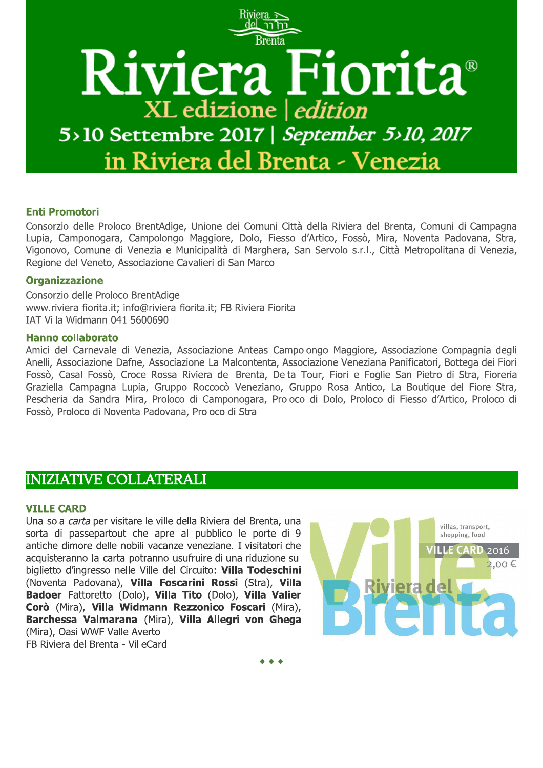

#### **Enti Promotori**

Consorzio delle Proloco BrentAdige, Unione dei Comuni Città della Riviera del Brenta, Comuni di Campagna Lupia, Camponogara, Campolongo Maggiore, Dolo, Fiesso d'Artico, Fossò, Mira, Noventa Padovana, Stra, Vigonovo, Comune di Venezia e Municipalità di Marghera, San Servolo s.r.l., Città Metropolitana di Venezia, Regione del Veneto, Associazione Cavalieri di San Marco

#### **Organizzazione**

Consorzio delle Proloco BrentAdige www.riviera-fiorita.it; info@riviera-fiorita.it; FB Riviera Fiorita IAT Villa Widmann 041 5600690

#### **Hanno collaborato**

Amici del Carnevale di Venezia, Associazione Anteas Campolongo Maggiore, Associazione Compagnia degli Anelli, Associazione Dafne, Associazione La Malcontenta, Associazione Veneziana Panificatori, Bottega dei Fiori Fossò, Casal Fossò, Croce Rossa Riviera del Brenta, Delta Tour, Fiori e Foglie San Pietro di Stra, Fioreria Graziella Campagna Lupia, Gruppo Roccocò Veneziano, Gruppo Rosa Antico, La Boutique del Fiore Stra, Pescheria da Sandra Mira, Proloco di Camponogara, Proloco di Dolo, Proloco di Fiesso d'Artico, Proloco di Fossò, Proloco di Noventa Padovana, Proloco di Stra

## **INIZIATIVE COLLATERALI**

#### **VILLE CARD**

Una sola carta per visitare le ville della Riviera del Brenta, una sorta di passepartout che apre al pubblico le porte di 9 antiche dimore delle nobili vacanze veneziane. I visitatori che acquisteranno la carta potranno usufruire di una riduzione sul biglietto d'ingresso nelle Ville del Circuito: Villa Todeschini (Noventa Padovana), Villa Foscarini Rossi (Stra), Villa Badoer Fattoretto (Dolo), Villa Tito (Dolo), Villa Valier Corò (Mira), Villa Widmann Rezzonico Foscari (Mira), Barchessa Valmarana (Mira), Villa Allegri von Ghega (Mira), Oasi WWF Valle Averto FB Riviera del Brenta - VilleCard

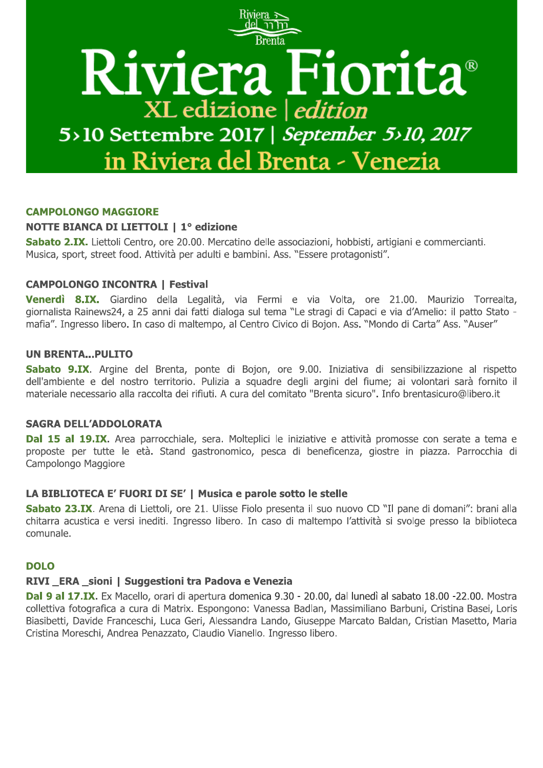

#### **CAMPOLONGO MAGGIORE**

#### **NOTTE BIANCA DI LIETTOLI | 1º edizione**

Sabato 2.IX. Liettoli Centro, ore 20.00. Mercatino delle associazioni, hobbisti, artigiani e commercianti. Musica, sport, street food. Attività per adulti e bambini. Ass. "Essere protagonisti".

#### **CAMPOLONGO INCONTRA | Festival**

Venerdì 8.IX. Giardino della Legalità, via Fermi e via Volta, ore 21.00. Maurizio Torrealta, giornalista Rainews24, a 25 anni dai fatti dialoga sul tema "Le stragi di Capaci e via d'Amelio: il patto Stato mafia". Ingresso libero. In caso di maltempo, al Centro Civico di Bojon. Ass. "Mondo di Carta" Ass. "Auser"

#### **UN BRENTA...PULITO**

Sabato 9.IX. Argine del Brenta, ponte di Bojon, ore 9.00. Iniziativa di sensibilizzazione al rispetto dell'ambiente e del nostro territorio. Pulizia a squadre degli argini del fiume; ai volontari sarà fornito il materiale necessario alla raccolta dei rifiuti. A cura del comitato "Brenta sicuro". Info brentasicuro@libero.it

#### **SAGRA DELL'ADDOLORATA**

Dal 15 al 19.IX. Area parrocchiale, sera. Molteplici le iniziative e attività promosse con serate a tema e proposte per tutte le età. Stand gastronomico, pesca di beneficenza, giostre in piazza. Parrocchia di Campolongo Maggiore

#### LA BIBLIOTECA E' FUORI DI SE' | Musica e parole sotto le stelle

Sabato 23.IX. Arena di Liettoli, ore 21. Ulisse Fiolo presenta il suo nuovo CD "Il pane di domani": brani alla chitarra acustica e versi inediti. Ingresso libero. In caso di maltempo l'attività si svolge presso la biblioteca comunale.

#### **DOLO**

#### RIVI ERA sioni | Suggestioni tra Padova e Venezia

Dal 9 al 17.IX. Ex Macello, orari di apertura domenica 9.30 - 20.00, dal lunedì al sabato 18.00 -22.00. Mostra collettiva fotografica a cura di Matrix. Espongono: Vanessa Badlan, Massimiliano Barbuni, Cristina Basei, Loris Biasibetti, Davide Franceschi, Luca Geri, Alessandra Lando, Giuseppe Marcato Baldan, Cristian Masetto, Maria Cristina Moreschi, Andrea Penazzato, Claudio Vianello. Ingresso libero.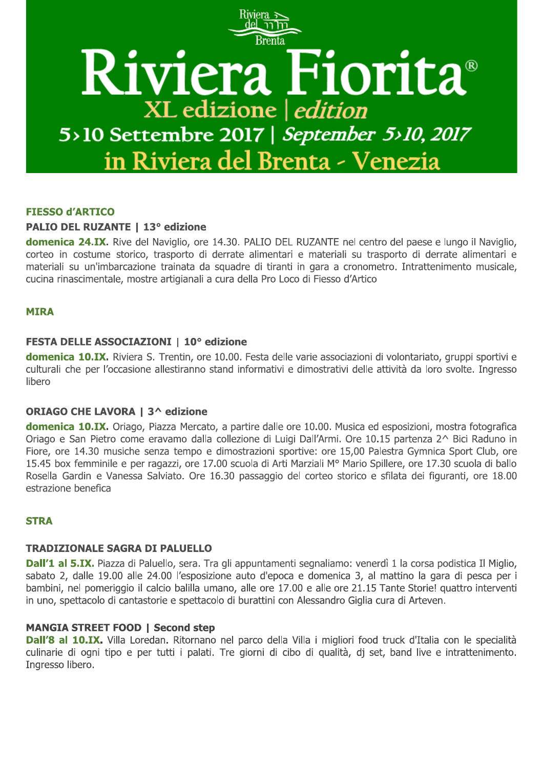

#### **FIESSO d'ARTICO**

#### **PALIO DEL RUZANTE | 13° edizione**

domenica 24.IX. Rive del Naviglio, ore 14.30. PALIO DEL RUZANTE nel centro del paese e lungo il Naviglio, corteo in costume storico, trasporto di derrate alimentari e materiali su trasporto di derrate alimentari e materiali su un'imbarcazione trainata da squadre di tiranti in gara a cronometro. Intrattenimento musicale, cucina rinascimentale, mostre artigianali a cura della Pro Loco di Fiesso d'Artico

#### **MIRA**

#### FESTA DELLE ASSOCIAZIONI | 10° edizione

domenica 10.IX. Riviera S. Trentin, ore 10.00. Festa delle varie associazioni di volontariato, gruppi sportivi e culturali che per l'occasione allestiranno stand informativi e dimostrativi delle attività da loro svolte. Ingresso libero

#### **ORIAGO CHE LAVORA | 3^ edizione**

domenica 10.IX. Oriago, Piazza Mercato, a partire dalle ore 10.00. Musica ed esposizioni, mostra fotografica Oriago e San Pietro come eravamo dalla collezione di Luigi Dall'Armi. Ore 10.15 partenza 2^ Bici Raduno in Fiore, ore 14.30 musiche senza tempo e dimostrazioni sportive: ore 15,00 Palestra Gymnica Sport Club, ore 15.45 box femminile e per ragazzi, ore 17.00 scuola di Arti Marziali Mº Mario Spillere, ore 17.30 scuola di ballo Rosella Gardin e Vanessa Salviato. Ore 16.30 passaggio del corteo storico e sfilata dei figuranti, ore 18.00 estrazione benefica

#### **STRA**

#### **TRADIZIONALE SAGRA DI PALUELLO**

Dall'1 al 5.IX. Piazza di Paluello, sera. Tra gli appuntamenti segnaliamo: venerdì 1 la corsa podistica Il Miglio, sabato 2, dalle 19.00 alle 24.00 l'esposizione auto d'epoca e domenica 3, al mattino la gara di pesca per i bambini, nel pomeriggio il calcio balilla umano, alle ore 17.00 e alle ore 21.15 Tante Storie! quattro interventi in uno, spettacolo di cantastorie e spettacolo di burattini con Alessandro Giglia cura di Arteven.

#### **MANGIA STREET FOOD | Second step**

Dall'8 al 10.IX. Villa Loredan. Ritornano nel parco della Villa i migliori food truck d'Italia con le specialità culinarie di ogni tipo e per tutti i palati. Tre giorni di cibo di qualità, di set, band live e intrattenimento. Ingresso libero.